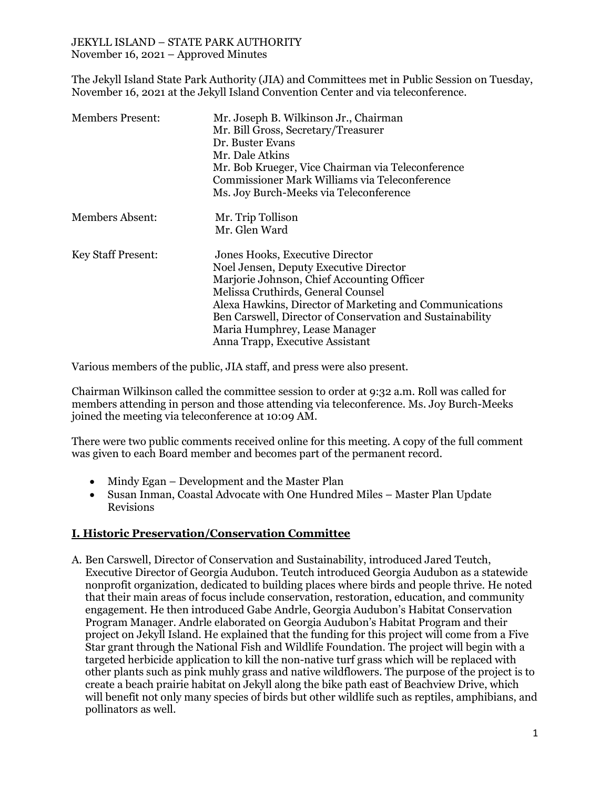### JEKYLL ISLAND – STATE PARK AUTHORITY November 16, 2021 – Approved Minutes

The Jekyll Island State Park Authority (JIA) and Committees met in Public Session on Tuesday, November 16, 2021 at the Jekyll Island Convention Center and via teleconference.

| <b>Members Present:</b>   | Mr. Joseph B. Wilkinson Jr., Chairman<br>Mr. Bill Gross, Secretary/Treasurer<br>Dr. Buster Evans<br>Mr. Dale Atkins<br>Mr. Bob Krueger, Vice Chairman via Teleconference<br>Commissioner Mark Williams via Teleconference<br>Ms. Joy Burch-Meeks via Teleconference                                                                                       |
|---------------------------|-----------------------------------------------------------------------------------------------------------------------------------------------------------------------------------------------------------------------------------------------------------------------------------------------------------------------------------------------------------|
| Members Absent:           | Mr. Trip Tollison<br>Mr. Glen Ward                                                                                                                                                                                                                                                                                                                        |
| <b>Key Staff Present:</b> | Jones Hooks, Executive Director<br>Noel Jensen, Deputy Executive Director<br>Marjorie Johnson, Chief Accounting Officer<br>Melissa Cruthirds, General Counsel<br>Alexa Hawkins, Director of Marketing and Communications<br>Ben Carswell, Director of Conservation and Sustainability<br>Maria Humphrey, Lease Manager<br>Anna Trapp, Executive Assistant |

Various members of the public, JIA staff, and press were also present.

Chairman Wilkinson called the committee session to order at 9:32 a.m. Roll was called for members attending in person and those attending via teleconference. Ms. Joy Burch-Meeks joined the meeting via teleconference at 10:09 AM.

There were two public comments received online for this meeting. A copy of the full comment was given to each Board member and becomes part of the permanent record.

- Mindy Egan Development and the Master Plan
- Susan Inman, Coastal Advocate with One Hundred Miles Master Plan Update Revisions

## **I. Historic Preservation/Conservation Committee**

A. Ben Carswell, Director of Conservation and Sustainability, introduced Jared Teutch, Executive Director of Georgia Audubon. Teutch introduced Georgia Audubon as a statewide nonprofit organization, dedicated to building places where birds and people thrive. He noted that their main areas of focus include conservation, restoration, education, and community engagement. He then introduced Gabe Andrle, Georgia Audubon's Habitat Conservation Program Manager. Andrle elaborated on Georgia Audubon's Habitat Program and their project on Jekyll Island. He explained that the funding for this project will come from a Five Star grant through the National Fish and Wildlife Foundation. The project will begin with a targeted herbicide application to kill the non-native turf grass which will be replaced with other plants such as pink muhly grass and native wildflowers. The purpose of the project is to create a beach prairie habitat on Jekyll along the bike path east of Beachview Drive, which will benefit not only many species of birds but other wildlife such as reptiles, amphibians, and pollinators as well.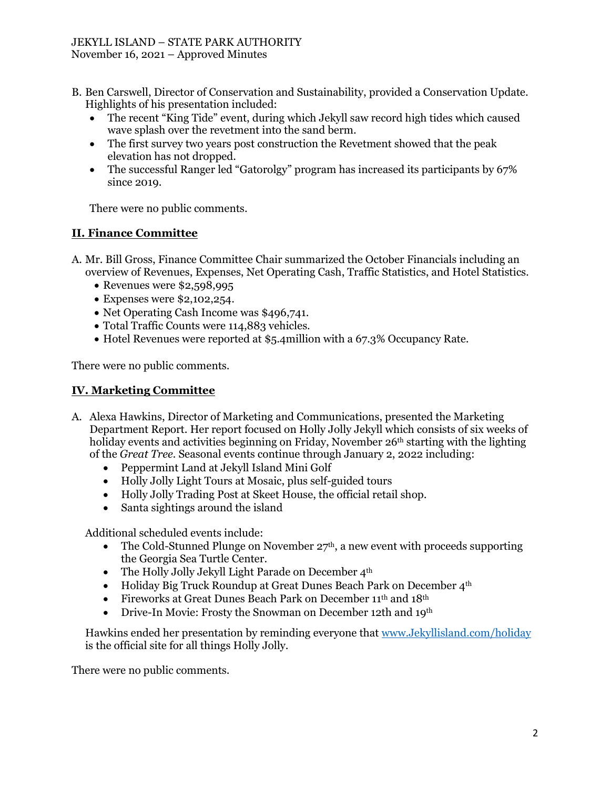#### JEKYLL ISLAND – STATE PARK AUTHORITY November 16, 2021 – Approved Minutes

- B. Ben Carswell, Director of Conservation and Sustainability, provided a Conservation Update. Highlights of his presentation included:
	- The recent "King Tide" event, during which Jekyll saw record high tides which caused wave splash over the revetment into the sand berm.
	- The first survey two years post construction the Revetment showed that the peak elevation has not dropped.
	- The successful Ranger led "Gatorolgy" program has increased its participants by 67% since 2019.

There were no public comments.

# **II. Finance Committee**

- A. Mr. Bill Gross, Finance Committee Chair summarized the October Financials including an overview of Revenues, Expenses, Net Operating Cash, Traffic Statistics, and Hotel Statistics.
	- Revenues were \$2,598,995
	- Expenses were \$2,102,254.
	- Net Operating Cash Income was \$496,741.
	- Total Traffic Counts were 114,883 vehicles.
	- Hotel Revenues were reported at \$5.4million with a 67.3% Occupancy Rate.

There were no public comments.

## **IV. Marketing Committee**

- A. Alexa Hawkins, Director of Marketing and Communications, presented the Marketing Department Report. Her report focused on Holly Jolly Jekyll which consists of six weeks of holiday events and activities beginning on Friday, November  $26<sup>th</sup>$  starting with the lighting of the *Great Tree.* Seasonal events continue through January 2, 2022 including:
	- Peppermint Land at Jekyll Island Mini Golf
	- Holly Jolly Light Tours at Mosaic, plus self-guided tours
	- Holly Jolly Trading Post at Skeet House, the official retail shop.
	- Santa sightings around the island

Additional scheduled events include:

- The Cold-Stunned Plunge on November  $27<sup>th</sup>$ , a new event with proceeds supporting the Georgia Sea Turtle Center.
- The Holly Jolly Jekyll Light Parade on December 4<sup>th</sup>
- Holiday Big Truck Roundup at Great Dunes Beach Park on December  $4<sup>th</sup>$
- Fireworks at Great Dunes Beach Park on December 11<sup>th</sup> and 18<sup>th</sup>
- Drive-In Movie: Frosty the Snowman on December 12th and 19th

Hawkins ended her presentation by reminding everyone that [www.Jekyllisland.com/holiday](http://www.jekyllisland.com/holiday) is the official site for all things Holly Jolly.

There were no public comments.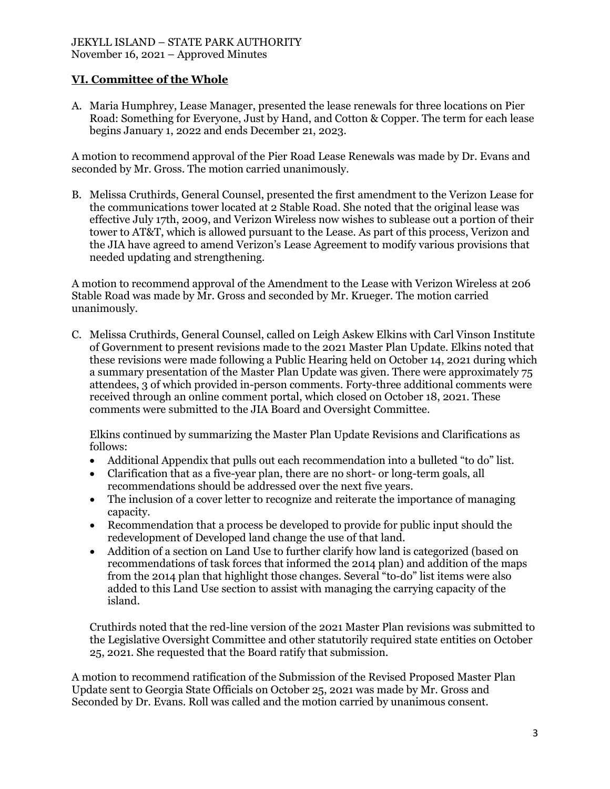# **VI. Committee of the Whole**

A. Maria Humphrey, Lease Manager, presented the lease renewals for three locations on Pier Road: Something for Everyone, Just by Hand, and Cotton & Copper. The term for each lease begins January 1, 2022 and ends December 21, 2023.

A motion to recommend approval of the Pier Road Lease Renewals was made by Dr. Evans and seconded by Mr. Gross. The motion carried unanimously.

B. Melissa Cruthirds, General Counsel, presented the first amendment to the Verizon Lease for the communications tower located at 2 Stable Road. She noted that the original lease was effective July 17th, 2009, and Verizon Wireless now wishes to sublease out a portion of their tower to AT&T, which is allowed pursuant to the Lease. As part of this process, Verizon and the JIA have agreed to amend Verizon's Lease Agreement to modify various provisions that needed updating and strengthening.

A motion to recommend approval of the Amendment to the Lease with Verizon Wireless at 206 Stable Road was made by Mr. Gross and seconded by Mr. Krueger. The motion carried unanimously.

C. Melissa Cruthirds, General Counsel, called on Leigh Askew Elkins with Carl Vinson Institute of Government to present revisions made to the 2021 Master Plan Update. Elkins noted that these revisions were made following a Public Hearing held on October 14, 2021 during which a summary presentation of the Master Plan Update was given. There were approximately 75 attendees, 3 of which provided in-person comments. Forty-three additional comments were received through an online comment portal, which closed on October 18, 2021. These comments were submitted to the JIA Board and Oversight Committee.

Elkins continued by summarizing the Master Plan Update Revisions and Clarifications as follows:

- Additional Appendix that pulls out each recommendation into a bulleted "to do" list.
- Clarification that as a five-year plan, there are no short- or long-term goals, all recommendations should be addressed over the next five years.
- The inclusion of a cover letter to recognize and reiterate the importance of managing capacity.
- Recommendation that a process be developed to provide for public input should the redevelopment of Developed land change the use of that land.
- Addition of a section on Land Use to further clarify how land is categorized (based on recommendations of task forces that informed the 2014 plan) and addition of the maps from the 2014 plan that highlight those changes. Several "to-do" list items were also added to this Land Use section to assist with managing the carrying capacity of the island.

Cruthirds noted that the red-line version of the 2021 Master Plan revisions was submitted to the Legislative Oversight Committee and other statutorily required state entities on October 25, 2021. She requested that the Board ratify that submission.

A motion to recommend ratification of the Submission of the Revised Proposed Master Plan Update sent to Georgia State Officials on October 25, 2021 was made by Mr. Gross and Seconded by Dr. Evans. Roll was called and the motion carried by unanimous consent.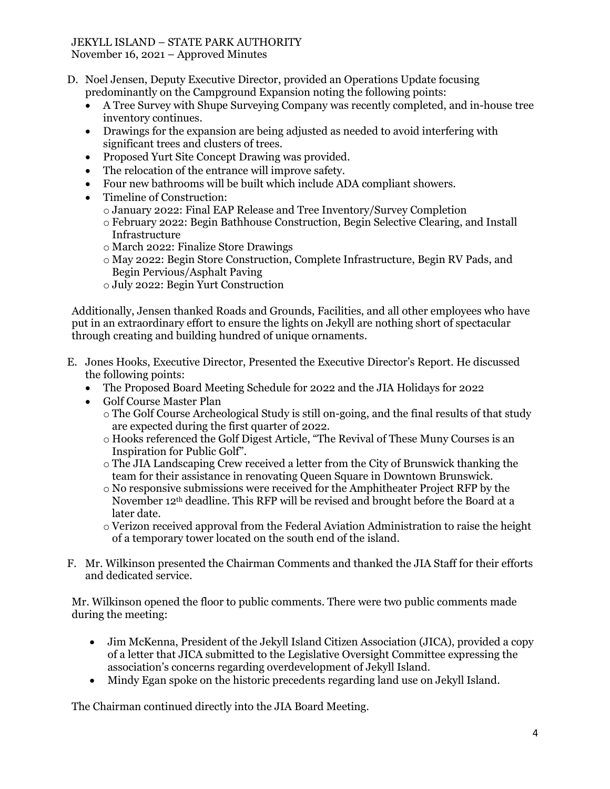# JEKYLL ISLAND – STATE PARK AUTHORITY

November 16, 2021 – Approved Minutes

- D. Noel Jensen, Deputy Executive Director, provided an Operations Update focusing predominantly on the Campground Expansion noting the following points:
	- A Tree Survey with Shupe Surveying Company was recently completed, and in-house tree inventory continues.
	- Drawings for the expansion are being adjusted as needed to avoid interfering with significant trees and clusters of trees.
	- Proposed Yurt Site Concept Drawing was provided.
	- The relocation of the entrance will improve safety.
	- Four new bathrooms will be built which include ADA compliant showers.
	- Timeline of Construction:
		- o January 2022: Final EAP Release and Tree Inventory/Survey Completion
		- o February 2022: Begin Bathhouse Construction, Begin Selective Clearing, and Install **Infrastructure**
		- o March 2022: Finalize Store Drawings
		- o May 2022: Begin Store Construction, Complete Infrastructure, Begin RV Pads, and Begin Pervious/Asphalt Paving
		- o July 2022: Begin Yurt Construction

Additionally, Jensen thanked Roads and Grounds, Facilities, and all other employees who have put in an extraordinary effort to ensure the lights on Jekyll are nothing short of spectacular through creating and building hundred of unique ornaments.

- E. Jones Hooks, Executive Director, Presented the Executive Director's Report. He discussed the following points:
	- The Proposed Board Meeting Schedule for 2022 and the JIA Holidays for 2022
	- Golf Course Master Plan
		- o The Golf Course Archeological Study is still on-going, and the final results of that study are expected during the first quarter of 2022.
		- o Hooks referenced the Golf Digest Article, "The Revival of These Muny Courses is an Inspiration for Public Golf".
		- o The JIA Landscaping Crew received a letter from the City of Brunswick thanking the team for their assistance in renovating Queen Square in Downtown Brunswick.
		- $\circ$  No responsive submissions were received for the Amphitheater Project RFP by the November 12th deadline. This RFP will be revised and brought before the Board at a later date.
		- o Verizon received approval from the Federal Aviation Administration to raise the height of a temporary tower located on the south end of the island.
- F. Mr. Wilkinson presented the Chairman Comments and thanked the JIA Staff for their efforts and dedicated service.

Mr. Wilkinson opened the floor to public comments. There were two public comments made during the meeting:

- Jim McKenna, President of the Jekyll Island Citizen Association (JICA), provided a copy of a letter that JICA submitted to the Legislative Oversight Committee expressing the association's concerns regarding overdevelopment of Jekyll Island.
- Mindy Egan spoke on the historic precedents regarding land use on Jekyll Island.

The Chairman continued directly into the JIA Board Meeting.